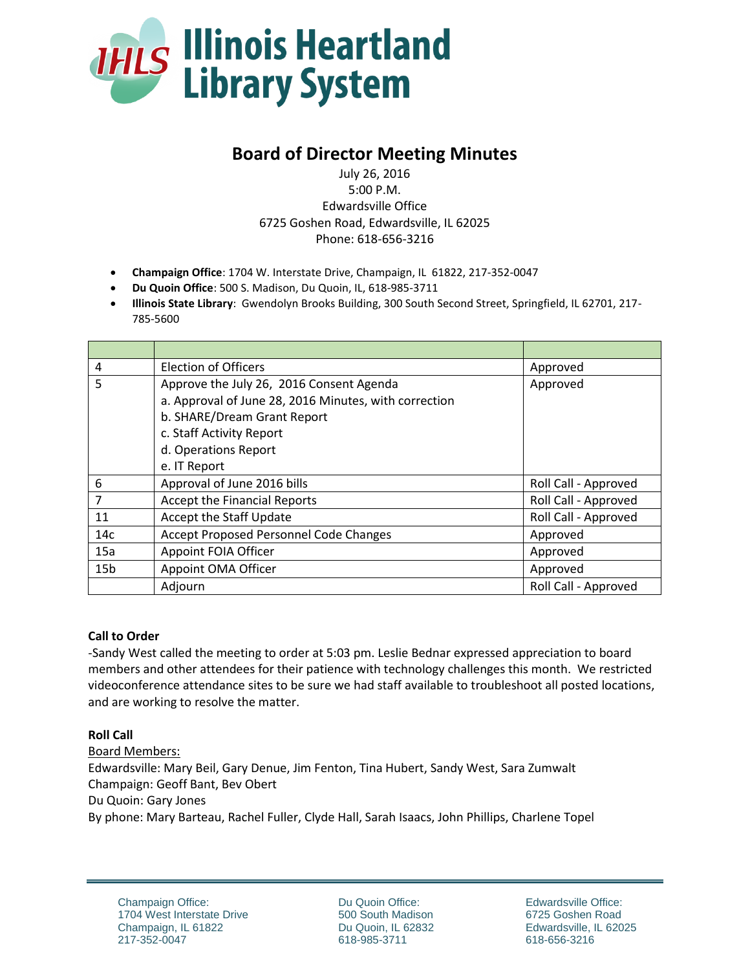

# **Board of Director Meeting Minutes**

July 26, 2016 5:00 P.M. Edwardsville Office 6725 Goshen Road, Edwardsville, IL 62025 Phone: 618-656-3216

- **Champaign Office**: 1704 W. Interstate Drive, Champaign, IL 61822, 217-352-0047
- **Du Quoin Office**: 500 S. Madison, Du Quoin, IL, 618-985-3711
- **Illinois State Library**: Gwendolyn Brooks Building, 300 South Second Street, Springfield, IL 62701, 217- 785-5600

| $\overline{4}$  | <b>Election of Officers</b>                           | Approved             |
|-----------------|-------------------------------------------------------|----------------------|
| 5               | Approve the July 26, 2016 Consent Agenda              | Approved             |
|                 | a. Approval of June 28, 2016 Minutes, with correction |                      |
|                 | b. SHARE/Dream Grant Report                           |                      |
|                 | c. Staff Activity Report                              |                      |
|                 | d. Operations Report                                  |                      |
|                 | e. IT Report                                          |                      |
| 6               | Approval of June 2016 bills                           | Roll Call - Approved |
| 7               | <b>Accept the Financial Reports</b>                   | Roll Call - Approved |
| 11              | Accept the Staff Update                               | Roll Call - Approved |
| 14c             | Accept Proposed Personnel Code Changes                | Approved             |
| 15a             | Appoint FOIA Officer                                  | Approved             |
| 15 <sub>b</sub> | Appoint OMA Officer                                   | Approved             |
|                 | Adjourn                                               | Roll Call - Approved |

### **Call to Order**

-Sandy West called the meeting to order at 5:03 pm. Leslie Bednar expressed appreciation to board members and other attendees for their patience with technology challenges this month. We restricted videoconference attendance sites to be sure we had staff available to troubleshoot all posted locations, and are working to resolve the matter.

### **Roll Call**

Board Members: Edwardsville: Mary Beil, Gary Denue, Jim Fenton, Tina Hubert, Sandy West, Sara Zumwalt Champaign: Geoff Bant, Bev Obert Du Quoin: Gary Jones By phone: Mary Barteau, Rachel Fuller, Clyde Hall, Sarah Isaacs, John Phillips, Charlene Topel

Du Quoin Office: 500 South Madison Du Quoin, IL 62832 618-985-3711

Edwardsville Office: 6725 Goshen Road Edwardsville, IL 62025 618-656-3216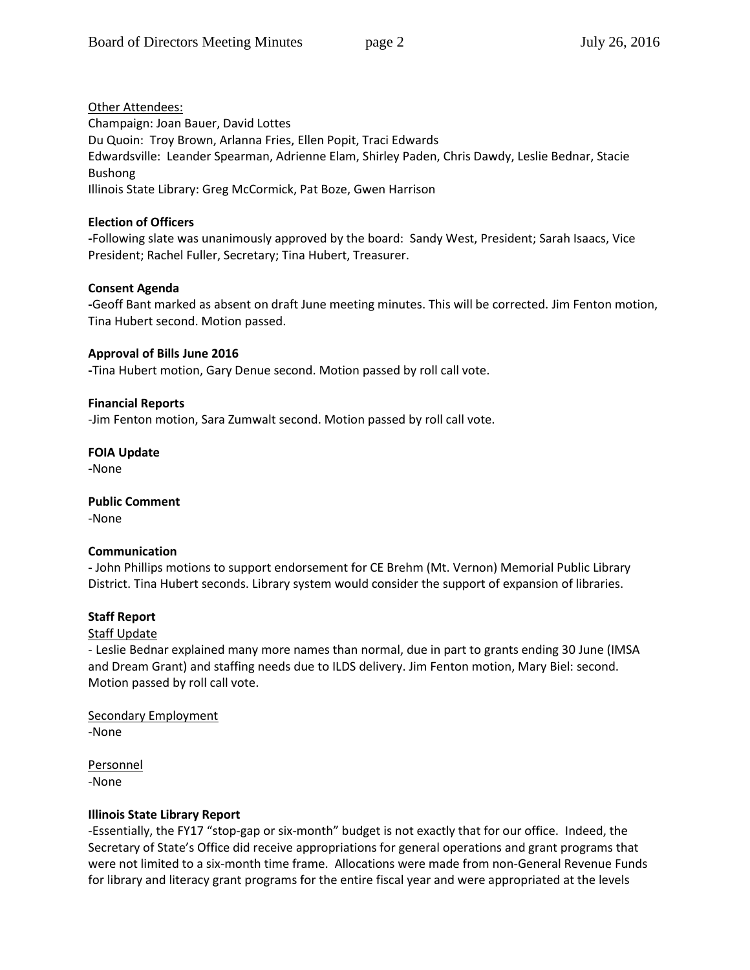Other Attendees: Champaign: Joan Bauer, David Lottes Du Quoin: Troy Brown, Arlanna Fries, Ellen Popit, Traci Edwards Edwardsville: Leander Spearman, Adrienne Elam, Shirley Paden, Chris Dawdy, Leslie Bednar, Stacie Bushong Illinois State Library: Greg McCormick, Pat Boze, Gwen Harrison

# **Election of Officers**

**-**Following slate was unanimously approved by the board: Sandy West, President; Sarah Isaacs, Vice President; Rachel Fuller, Secretary; Tina Hubert, Treasurer.

# **Consent Agenda**

**-**Geoff Bant marked as absent on draft June meeting minutes. This will be corrected. Jim Fenton motion, Tina Hubert second. Motion passed.

# **Approval of Bills June 2016**

**-**Tina Hubert motion, Gary Denue second. Motion passed by roll call vote.

# **Financial Reports**

-Jim Fenton motion, Sara Zumwalt second. Motion passed by roll call vote.

# **FOIA Update**

**-**None

**Public Comment** -None

# **Communication**

**-** John Phillips motions to support endorsement for CE Brehm (Mt. Vernon) Memorial Public Library District. Tina Hubert seconds. Library system would consider the support of expansion of libraries.

# **Staff Report**

# **Staff Update**

- Leslie Bednar explained many more names than normal, due in part to grants ending 30 June (IMSA and Dream Grant) and staffing needs due to ILDS delivery. Jim Fenton motion, Mary Biel: second. Motion passed by roll call vote.

Secondary Employment -None

Personnel -None

# **Illinois State Library Report**

-Essentially, the FY17 "stop-gap or six-month" budget is not exactly that for our office. Indeed, the Secretary of State's Office did receive appropriations for general operations and grant programs that were not limited to a six-month time frame. Allocations were made from non-General Revenue Funds for library and literacy grant programs for the entire fiscal year and were appropriated at the levels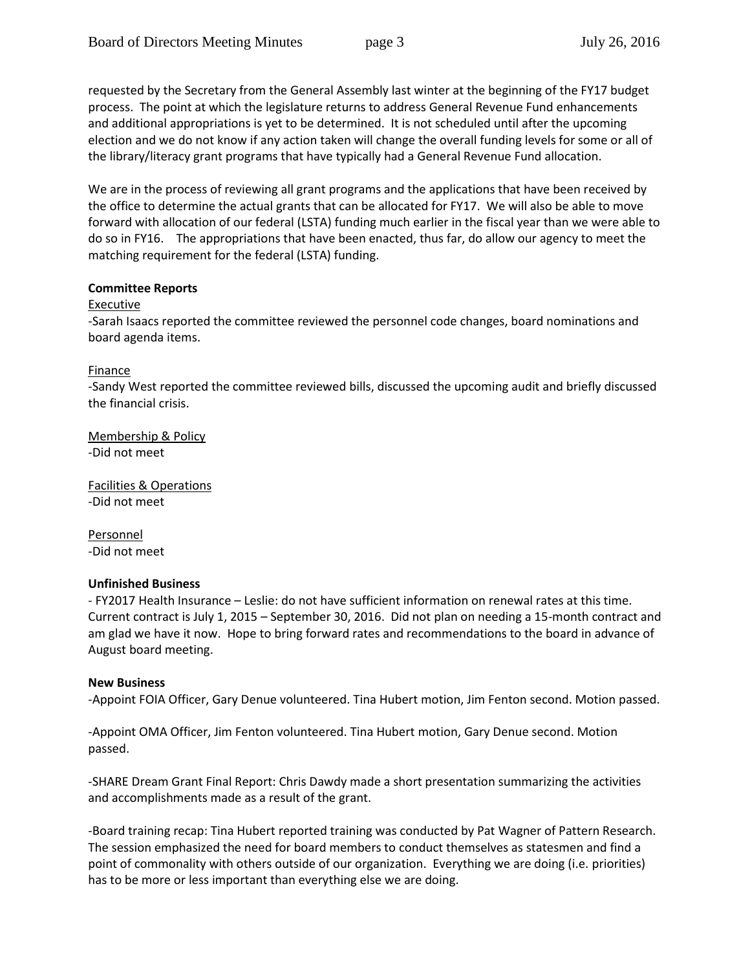requested by the Secretary from the General Assembly last winter at the beginning of the FY17 budget process. The point at which the legislature returns to address General Revenue Fund enhancements and additional appropriations is yet to be determined. It is not scheduled until after the upcoming election and we do not know if any action taken will change the overall funding levels for some or all of the library/literacy grant programs that have typically had a General Revenue Fund allocation.

We are in the process of reviewing all grant programs and the applications that have been received by the office to determine the actual grants that can be allocated for FY17. We will also be able to move forward with allocation of our federal (LSTA) funding much earlier in the fiscal year than we were able to do so in FY16. The appropriations that have been enacted, thus far, do allow our agency to meet the matching requirement for the federal (LSTA) funding.

#### **Committee Reports**

#### Executive

-Sarah Isaacs reported the committee reviewed the personnel code changes, board nominations and board agenda items.

**Finance** 

-Sandy West reported the committee reviewed bills, discussed the upcoming audit and briefly discussed the financial crisis.

Membership & Policy -Did not meet

Facilities & Operations -Did not meet

Personnel -Did not meet

#### **Unfinished Business**

- FY2017 Health Insurance – Leslie: do not have sufficient information on renewal rates at this time. Current contract is July 1, 2015 – September 30, 2016. Did not plan on needing a 15-month contract and am glad we have it now. Hope to bring forward rates and recommendations to the board in advance of August board meeting.

#### **New Business**

-Appoint FOIA Officer, Gary Denue volunteered. Tina Hubert motion, Jim Fenton second. Motion passed.

-Appoint OMA Officer, Jim Fenton volunteered. Tina Hubert motion, Gary Denue second. Motion passed.

-SHARE Dream Grant Final Report: Chris Dawdy made a short presentation summarizing the activities and accomplishments made as a result of the grant.

-Board training recap: Tina Hubert reported training was conducted by Pat Wagner of Pattern Research. The session emphasized the need for board members to conduct themselves as statesmen and find a point of commonality with others outside of our organization. Everything we are doing (i.e. priorities) has to be more or less important than everything else we are doing.